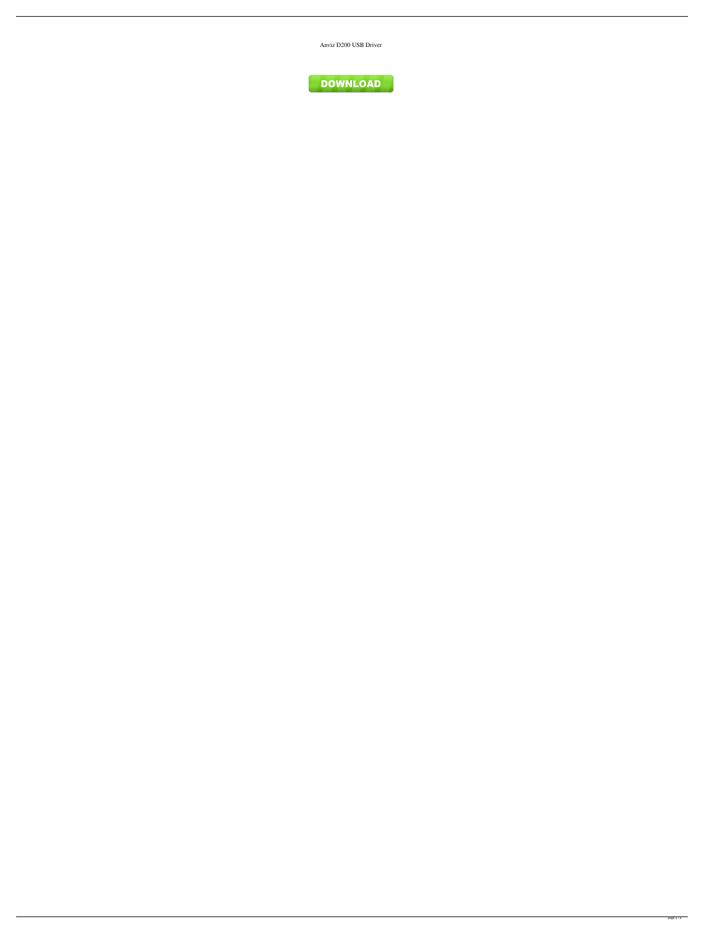Anviz D200 USB Driver

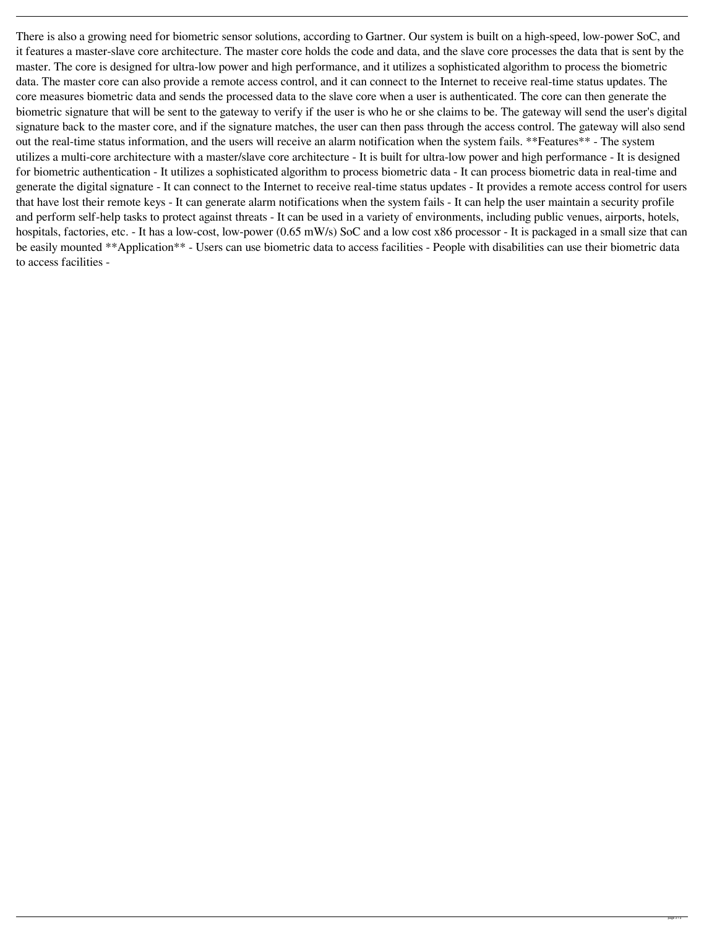There is also a growing need for biometric sensor solutions, according to Gartner. Our system is built on a high-speed, low-power SoC, and it features a master-slave core architecture. The master core holds the code and data, and the slave core processes the data that is sent by the master. The core is designed for ultra-low power and high performance, and it utilizes a sophisticated algorithm to process the biometric data. The master core can also provide a remote access control, and it can connect to the Internet to receive real-time status updates. The core measures biometric data and sends the processed data to the slave core when a user is authenticated. The core can then generate the biometric signature that will be sent to the gateway to verify if the user is who he or she claims to be. The gateway will send the user's digital signature back to the master core, and if the signature matches, the user can then pass through the access control. The gateway will also send out the real-time status information, and the users will receive an alarm notification when the system fails. \*\*Features\*\* - The system utilizes a multi-core architecture with a master/slave core architecture - It is built for ultra-low power and high performance - It is designed for biometric authentication - It utilizes a sophisticated algorithm to process biometric data - It can process biometric data in real-time and generate the digital signature - It can connect to the Internet to receive real-time status updates - It provides a remote access control for users that have lost their remote keys - It can generate alarm notifications when the system fails - It can help the user maintain a security profile and perform self-help tasks to protect against threats - It can be used in a variety of environments, including public venues, airports, hotels, hospitals, factories, etc. - It has a low-cost, low-power (0.65 mW/s) SoC and a low cost x86 processor - It is packaged in a small size that can be easily mounted \*\*Application\*\* - Users can use biometric data to access facilities - People with disabilities can use their biometric data to access facilities -